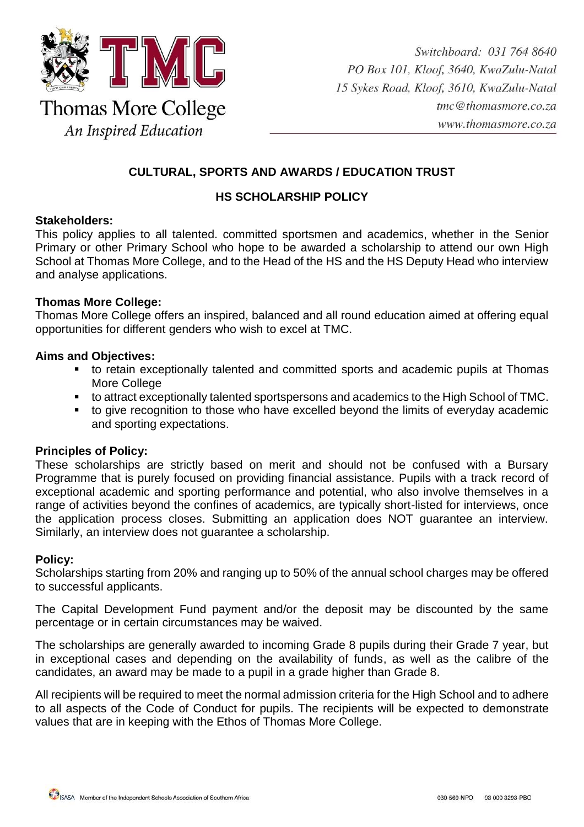

# **CULTURAL, SPORTS AND AWARDS / EDUCATION TRUST**

## **HS SCHOLARSHIP POLICY**

### **Stakeholders:**

This policy applies to all talented. committed sportsmen and academics, whether in the Senior Primary or other Primary School who hope to be awarded a scholarship to attend our own High School at Thomas More College, and to the Head of the HS and the HS Deputy Head who interview and analyse applications.

### **Thomas More College:**

Thomas More College offers an inspired, balanced and all round education aimed at offering equal opportunities for different genders who wish to excel at TMC.

### **Aims and Objectives:**

- to retain exceptionally talented and committed sports and academic pupils at Thomas More College
- to attract exceptionally talented sportspersons and academics to the High School of TMC.
- to give recognition to those who have excelled beyond the limits of everyday academic and sporting expectations.

#### **Principles of Policy:**

These scholarships are strictly based on merit and should not be confused with a Bursary Programme that is purely focused on providing financial assistance. Pupils with a track record of exceptional academic and sporting performance and potential, who also involve themselves in a range of activities beyond the confines of academics, are typically short-listed for interviews, once the application process closes. Submitting an application does NOT guarantee an interview. Similarly, an interview does not guarantee a scholarship.

#### **Policy:**

Scholarships starting from 20% and ranging up to 50% of the annual school charges may be offered to successful applicants.

The Capital Development Fund payment and/or the deposit may be discounted by the same percentage or in certain circumstances may be waived.

The scholarships are generally awarded to incoming Grade 8 pupils during their Grade 7 year, but in exceptional cases and depending on the availability of funds, as well as the calibre of the candidates, an award may be made to a pupil in a grade higher than Grade 8.

All recipients will be required to meet the normal admission criteria for the High School and to adhere to all aspects of the Code of Conduct for pupils. The recipients will be expected to demonstrate values that are in keeping with the Ethos of Thomas More College.

SASA Member of the Independent Schools Association of Southern Africa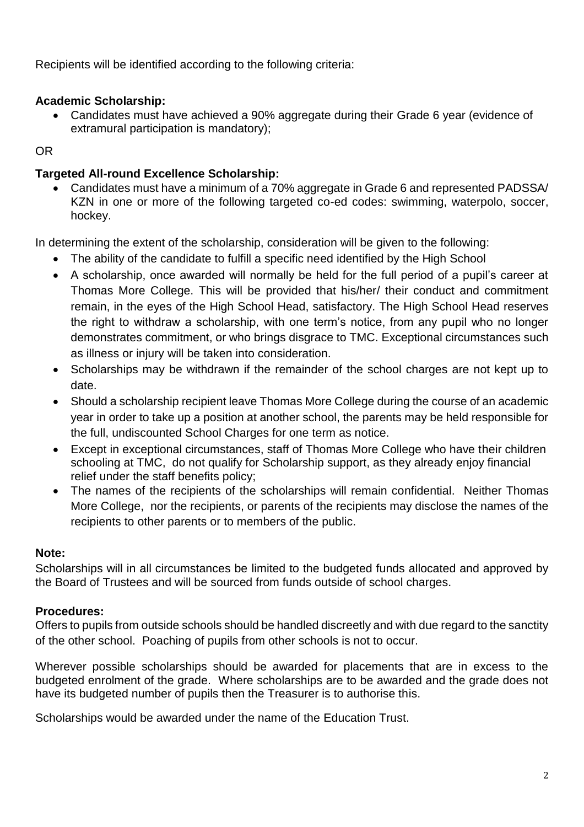Recipients will be identified according to the following criteria:

# **Academic Scholarship:**

 Candidates must have achieved a 90% aggregate during their Grade 6 year (evidence of extramural participation is mandatory);

# OR

# **Targeted All-round Excellence Scholarship:**

 Candidates must have a minimum of a 70% aggregate in Grade 6 and represented PADSSA/ KZN in one or more of the following targeted co-ed codes: swimming, waterpolo, soccer, hockey.

In determining the extent of the scholarship, consideration will be given to the following:

- The ability of the candidate to fulfill a specific need identified by the High School
- A scholarship, once awarded will normally be held for the full period of a pupil's career at Thomas More College. This will be provided that his/her/ their conduct and commitment remain, in the eyes of the High School Head, satisfactory. The High School Head reserves the right to withdraw a scholarship, with one term's notice, from any pupil who no longer demonstrates commitment, or who brings disgrace to TMC. Exceptional circumstances such as illness or injury will be taken into consideration.
- Scholarships may be withdrawn if the remainder of the school charges are not kept up to date.
- Should a scholarship recipient leave Thomas More College during the course of an academic year in order to take up a position at another school, the parents may be held responsible for the full, undiscounted School Charges for one term as notice.
- Except in exceptional circumstances, staff of Thomas More College who have their children schooling at TMC, do not qualify for Scholarship support, as they already enjoy financial relief under the staff benefits policy;
- The names of the recipients of the scholarships will remain confidential. Neither Thomas More College, nor the recipients, or parents of the recipients may disclose the names of the recipients to other parents or to members of the public.

## **Note:**

Scholarships will in all circumstances be limited to the budgeted funds allocated and approved by the Board of Trustees and will be sourced from funds outside of school charges.

## **Procedures:**

Offers to pupils from outside schools should be handled discreetly and with due regard to the sanctity of the other school. Poaching of pupils from other schools is not to occur.

Wherever possible scholarships should be awarded for placements that are in excess to the budgeted enrolment of the grade. Where scholarships are to be awarded and the grade does not have its budgeted number of pupils then the Treasurer is to authorise this.

Scholarships would be awarded under the name of the Education Trust.